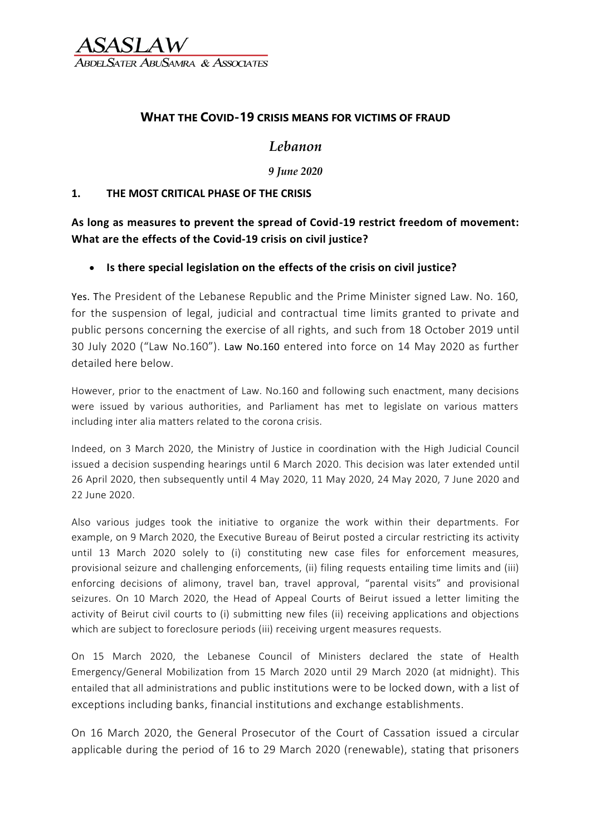ter AbuSamra & Associates

### **WHAT THE COVID-19 CRISIS MEANS FOR VICTIMS OF FRAUD**

## *Lebanon*

*9 June 2020*

#### **1. THE MOST CRITICAL PHASE OF THE CRISIS**

**As long as measures to prevent the spread of Covid-19 restrict freedom of movement: What are the effects of the Covid-19 crisis on civil justice?**

### • **Is there special legislation on the effects of the crisis on civil justice?**

Yes. The President of the Lebanese Republic and the Prime Minister signed Law. No. 160, for the suspension of legal, judicial and contractual time limits granted to private and public persons concerning the exercise of all rights, and such from 18 October 2019 until 30 July 2020 ("Law No.160"). Law No.160 entered into force on 14 May 2020 as further detailed here below.

However, prior to the enactment of Law. No.160 and following such enactment, many decisions were issued by various authorities, and Parliament has met to legislate on various matters including inter alia matters related to the corona crisis.

Indeed, on 3 March 2020, the Ministry of Justice in coordination with the High Judicial Council issued a decision suspending hearings until 6 March 2020. This decision was later extended until 26 April 2020, then subsequently until 4 May 2020, 11 May 2020, 24 May 2020, 7 June 2020 and 22 June 2020.

Also various judges took the initiative to organize the work within their departments. For example, on 9 March 2020, the Executive Bureau of Beirut posted a circular restricting its activity until 13 March 2020 solely to (i) constituting new case files for enforcement measures, provisional seizure and challenging enforcements, (ii) filing requests entailing time limits and (iii) enforcing decisions of alimony, travel ban, travel approval, "parental visits" and provisional seizures. On 10 March 2020, the Head of Appeal Courts of Beirut issued a letter limiting the activity of Beirut civil courts to (i) submitting new files (ii) receiving applications and objections which are subject to foreclosure periods (iii) receiving urgent measures requests.

On 15 March 2020, the Lebanese Council of Ministers declared the state of Health Emergency/General Mobilization from 15 March 2020 until 29 March 2020 (at midnight). This entailed that all administrations and public institutions were to be locked down, with a list of exceptions including banks, financial institutions and exchange establishments.

On 16 March 2020, the General Prosecutor of the Court of Cassation issued a circular applicable during the period of 16 to 29 March 2020 (renewable), stating that prisoners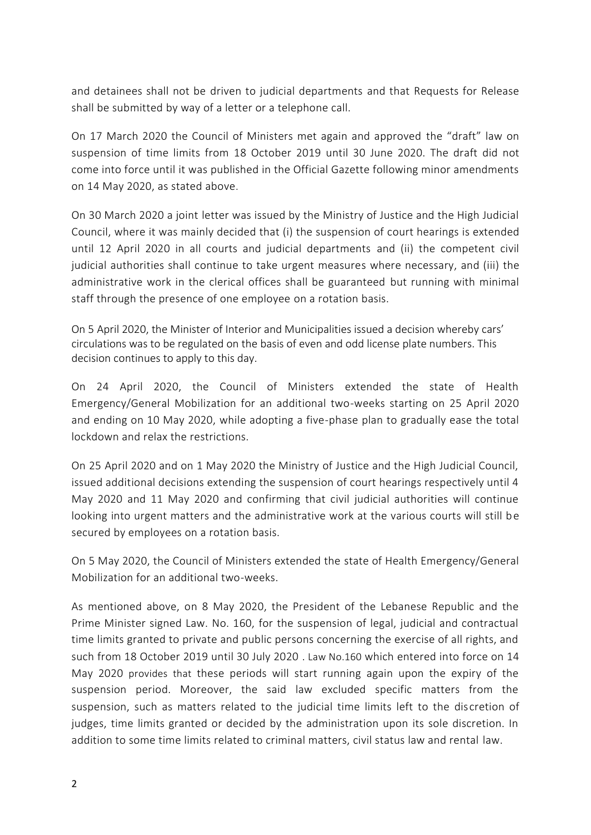and detainees shall not be driven to judicial departments and that Requests for Release shall be submitted by way of a letter or a telephone call.

On 17 March 2020 the Council of Ministers met again and approved the "draft" law on suspension of time limits from 18 October 2019 until 30 June 2020. The draft did not come into force until it was published in the Official Gazette following minor amendments on 14 May 2020, as stated above.

On 30 March 2020 a joint letter was issued by the Ministry of Justice and the High Judicial Council, where it was mainly decided that (i) the suspension of court hearings is extended until 12 April 2020 in all courts and judicial departments and (ii) the competent civil judicial authorities shall continue to take urgent measures where necessary, and (iii) the administrative work in the clerical offices shall be guaranteed but running with minimal staff through the presence of one employee on a rotation basis.

On 5 April 2020, the Minister of Interior and Municipalities issued a decision whereby cars' circulations was to be regulated on the basis of even and odd license plate numbers. This decision continues to apply to this day.

On 24 April 2020, the Council of Ministers extended the state of Health Emergency/General Mobilization for an additional two-weeks starting on 25 April 2020 and ending on 10 May 2020, while adopting a five-phase plan to gradually ease the total lockdown and relax the restrictions.

On 25 April 2020 and on 1 May 2020 the Ministry of Justice and the High Judicial Council, issued additional decisions extending the suspension of court hearings respectively until 4 May 2020 and 11 May 2020 and confirming that civil judicial authorities will continue looking into urgent matters and the administrative work at the various courts will still be secured by employees on a rotation basis.

On 5 May 2020, the Council of Ministers extended the state of Health Emergency/General Mobilization for an additional two-weeks.

As mentioned above, on 8 May 2020, the President of the Lebanese Republic and the Prime Minister signed Law. No. 160, for the suspension of legal, judicial and contractual time limits granted to private and public persons concerning the exercise of all rights, and such from 18 October 2019 until 30 July 2020 . Law No.160 which entered into force on 14 May 2020 provides that these periods will start running again upon the expiry of the suspension period. Moreover, the said law excluded specific matters from the suspension, such as matters related to the judicial time limits left to the discretion of judges, time limits granted or decided by the administration upon its sole discretion. In addition to some time limits related to criminal matters, civil status law and rental law.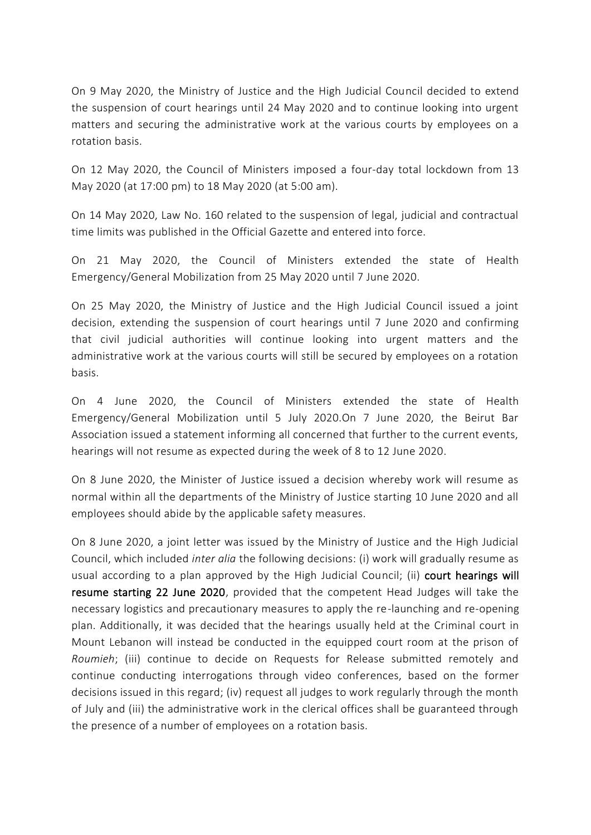On 9 May 2020, the Ministry of Justice and the High Judicial Council decided to extend the suspension of court hearings until 24 May 2020 and to continue looking into urgent matters and securing the administrative work at the various courts by employees on a rotation basis.

On 12 May 2020, the Council of Ministers imposed a four-day total lockdown from 13 May 2020 (at 17:00 pm) to 18 May 2020 (at 5:00 am).

On 14 May 2020, Law No. 160 related to the suspension of legal, judicial and contractual time limits was published in the Official Gazette and entered into force.

On 21 May 2020, the Council of Ministers extended the state of Health Emergency/General Mobilization from 25 May 2020 until 7 June 2020.

On 25 May 2020, the Ministry of Justice and the High Judicial Council issued a joint decision, extending the suspension of court hearings until 7 June 2020 and confirming that civil judicial authorities will continue looking into urgent matters and the administrative work at the various courts will still be secured by employees on a rotation basis.

On 4 June 2020, the Council of Ministers extended the state of Health Emergency/General Mobilization until 5 July 2020.On 7 June 2020, the Beirut Bar Association issued a statement informing all concerned that further to the current events, hearings will not resume as expected during the week of 8 to 12 June 2020.

On 8 June 2020, the Minister of Justice issued a decision whereby work will resume as normal within all the departments of the Ministry of Justice starting 10 June 2020 and all employees should abide by the applicable safety measures.

On 8 June 2020, a joint letter was issued by the Ministry of Justice and the High Judicial Council, which included *inter alia* the following decisions: (i) work will gradually resume as usual according to a plan approved by the High Judicial Council; (ii) court hearings will resume starting 22 June 2020, provided that the competent Head Judges will take the necessary logistics and precautionary measures to apply the re-launching and re-opening plan. Additionally, it was decided that the hearings usually held at the Criminal court in Mount Lebanon will instead be conducted in the equipped court room at the prison of *Roumieh*; (iii) continue to decide on Requests for Release submitted remotely and continue conducting interrogations through video conferences, based on the former decisions issued in this regard; (iv) request all judges to work regularly through the month of July and (iii) the administrative work in the clerical offices shall be guaranteed through the presence of a number of employees on a rotation basis.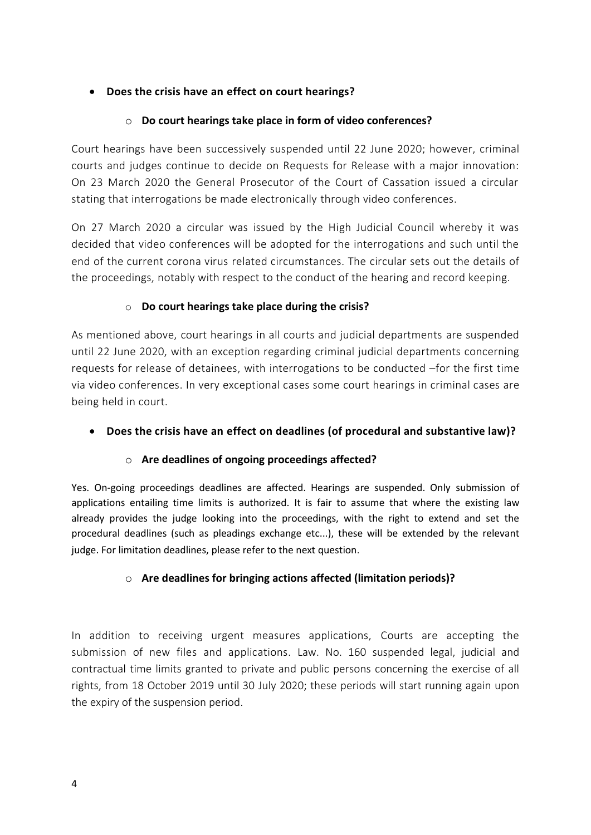### • **Does the crisis have an effect on court hearings?**

### o **Do court hearings take place in form of video conferences?**

Court hearings have been successively suspended until 22 June 2020; however, criminal courts and judges continue to decide on Requests for Release with a major innovation: On 23 March 2020 the General Prosecutor of the Court of Cassation issued a circular stating that interrogations be made electronically through video conferences.

On 27 March 2020 a circular was issued by the High Judicial Council whereby it was decided that video conferences will be adopted for the interrogations and such until the end of the current corona virus related circumstances. The circular sets out the details of the proceedings, notably with respect to the conduct of the hearing and record keeping.

### o **Do court hearings take place during the crisis?**

As mentioned above, court hearings in all courts and judicial departments are suspended until 22 June 2020, with an exception regarding criminal judicial departments concerning requests for release of detainees, with interrogations to be conducted –for the first time via video conferences. In very exceptional cases some court hearings in criminal cases are being held in court.

### • **Does the crisis have an effect on deadlines (of procedural and substantive law)?**

### o **Are deadlines of ongoing proceedings affected?**

Yes. On-going proceedings deadlines are affected. Hearings are suspended. Only submission of applications entailing time limits is authorized. It is fair to assume that where the existing law already provides the judge looking into the proceedings, with the right to extend and set the procedural deadlines (such as pleadings exchange etc...), these will be extended by the relevant judge. For limitation deadlines, please refer to the next question.

### o **Are deadlines for bringing actions affected (limitation periods)?**

In addition to receiving urgent measures applications, Courts are accepting the submission of new files and applications. Law. No. 160 suspended legal, judicial and contractual time limits granted to private and public persons concerning the exercise of all rights, from 18 October 2019 until 30 July 2020; these periods will start running again upon the expiry of the suspension period.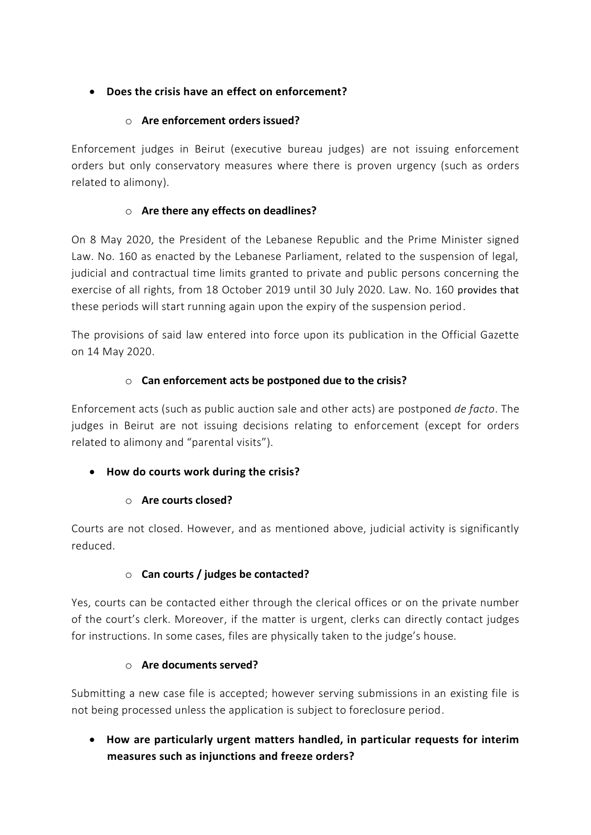## • **Does the crisis have an effect on enforcement?**

## o **Are enforcement orders issued?**

Enforcement judges in Beirut (executive bureau judges) are not issuing enforcement orders but only conservatory measures where there is proven urgency (such as orders related to alimony).

## o **Are there any effects on deadlines?**

On 8 May 2020, the President of the Lebanese Republic and the Prime Minister signed Law. No. 160 as enacted by the Lebanese Parliament, related to the suspension of legal, judicial and contractual time limits granted to private and public persons concerning the exercise of all rights, from 18 October 2019 until 30 July 2020. Law. No. 160 provides that these periods will start running again upon the expiry of the suspension period.

The provisions of said law entered into force upon its publication in the Official Gazette on 14 May 2020.

## o **Can enforcement acts be postponed due to the crisis?**

Enforcement acts (such as public auction sale and other acts) are postponed *de facto*. The judges in Beirut are not issuing decisions relating to enforcement (except for orders related to alimony and "parental visits").

## • **How do courts work during the crisis?**

## o **Are courts closed?**

Courts are not closed. However, and as mentioned above, judicial activity is significantly reduced.

## o **Can courts / judges be contacted?**

Yes, courts can be contacted either through the clerical offices or on the private number of the court's clerk. Moreover, if the matter is urgent, clerks can directly contact judges for instructions. In some cases, files are physically taken to the judge's house.

## o **Are documents served?**

Submitting a new case file is accepted; however serving submissions in an existing file is not being processed unless the application is subject to foreclosure period.

# • **How are particularly urgent matters handled, in particular requests for interim measures such as injunctions and freeze orders?**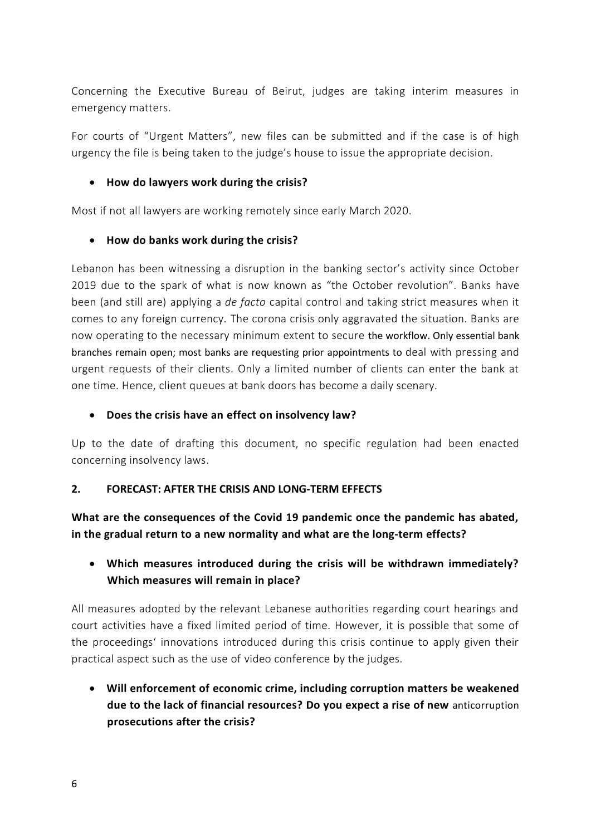Concerning the Executive Bureau of Beirut, judges are taking interim measures in emergency matters.

For courts of "Urgent Matters", new files can be submitted and if the case is of high urgency the file is being taken to the judge's house to issue the appropriate decision.

### • **How do lawyers work during the crisis?**

Most if not all lawyers are working remotely since early March 2020.

### • **How do banks work during the crisis?**

Lebanon has been witnessing a disruption in the banking sector's activity since October 2019 due to the spark of what is now known as "the October revolution". Banks have been (and still are) applying a *de facto* capital control and taking strict measures when it comes to any foreign currency. The corona crisis only aggravated the situation. Banks are now operating to the necessary minimum extent to secure the workflow. Only essential bank branches remain open; most banks are requesting prior appointments to deal with pressing and urgent requests of their clients. Only a limited number of clients can enter the bank at one time. Hence, client queues at bank doors has become a daily scenary.

#### • **Does the crisis have an effect on insolvency law?**

Up to the date of drafting this document, no specific regulation had been enacted concerning insolvency laws.

### **2. FORECAST: AFTER THE CRISIS AND LONG-TERM EFFECTS**

**What are the consequences of the Covid 19 pandemic once the pandemic has abated, in the gradual return to a new normality and what are the long-term effects?**

## • **Which measures introduced during the crisis will be withdrawn immediately? Which measures will remain in place?**

All measures adopted by the relevant Lebanese authorities regarding court hearings and court activities have a fixed limited period of time. However, it is possible that some of the proceedings' innovations introduced during this crisis continue to apply given their practical aspect such as the use of video conference by the judges.

• **Will enforcement of economic crime, including corruption matters be weakened due to the lack of financial resources? Do you expect a rise of new** anticorruption **prosecutions after the crisis?**